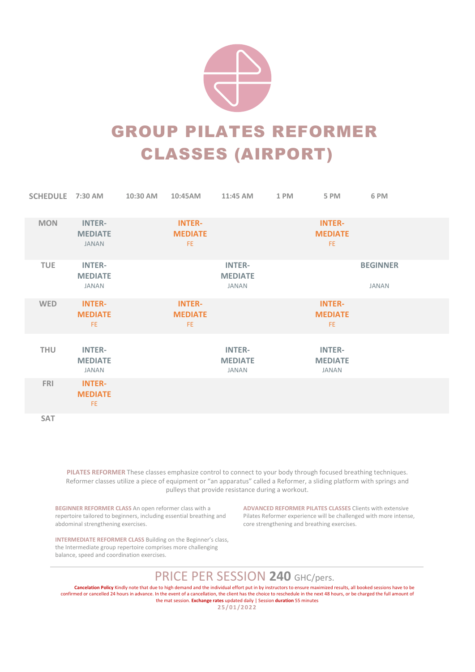

### GROUP PILATES REFORMER CLASSES (AIRPORT)

| SCHEDULE 7:30 AM |                                                 | 10:30 AM | 10:45AM                                | 11:45 AM                                        | 1 PM | 5 PM                                            | 6 PM                            |  |
|------------------|-------------------------------------------------|----------|----------------------------------------|-------------------------------------------------|------|-------------------------------------------------|---------------------------------|--|
| <b>MON</b>       | <b>INTER-</b><br><b>MEDIATE</b><br><b>JANAN</b> |          | <b>INTER-</b><br><b>MEDIATE</b><br>FE. |                                                 |      | <b>INTER-</b><br><b>MEDIATE</b><br>FE.          |                                 |  |
| <b>TUE</b>       | <b>INTER-</b><br><b>MEDIATE</b><br>JANAN        |          |                                        | <b>INTER-</b><br><b>MEDIATE</b><br>JANAN        |      |                                                 | <b>BEGINNER</b><br><b>JANAN</b> |  |
| <b>WED</b>       | <b>INTER-</b><br><b>MEDIATE</b><br>FE.          |          | <b>INTER-</b><br><b>MEDIATE</b><br>FE. |                                                 |      | <b>INTER-</b><br><b>MEDIATE</b><br>FE.          |                                 |  |
| <b>THU</b>       | <b>INTER-</b><br><b>MEDIATE</b><br><b>JANAN</b> |          |                                        | <b>INTER-</b><br><b>MEDIATE</b><br><b>JANAN</b> |      | <b>INTER-</b><br><b>MEDIATE</b><br><b>JANAN</b> |                                 |  |
| <b>FRI</b>       | <b>INTER-</b><br><b>MEDIATE</b><br>FE.          |          |                                        |                                                 |      |                                                 |                                 |  |
| <b>SAT</b>       |                                                 |          |                                        |                                                 |      |                                                 |                                 |  |

PILATES REFORMER These classes emphasize control to connect to your body through focused breathing techniques. Reformer classes utilize a piece of equipment or "an apparatus" called a Reformer, a sliding platform with springs and pulleys that provide resistance during a workout.

BEGINNER REFORMER CLASS An open reformer class with a repertoire tailored to beginners, including essential breathing and abdominal strengthening exercises.

ADVANCED REFORMER PILATES CLASSES Clients with extensive Pilates Reformer experience will be challenged with more intense, core strengthening and breathing exercises.

INTERMEDIATE REFORMER CLASS Building on the Beginner's class, the Intermediate group repertoire comprises more challenging balance, speed and coordination exercises.

#### PRICE PER SESSION 240 GHC/pers.

Cancelation Policy Kindly note that due to high demand and the individual effort put in by instructors to ensure maximized results, all booked sessions have to be confirmed or cancelled 24 hours in advance. In the event of a cancellation, the client has the choice to reschedule in the next 48 hours, or be charged the full amount of the mat session. Exchange rates updated daily | Session duration 55 minutes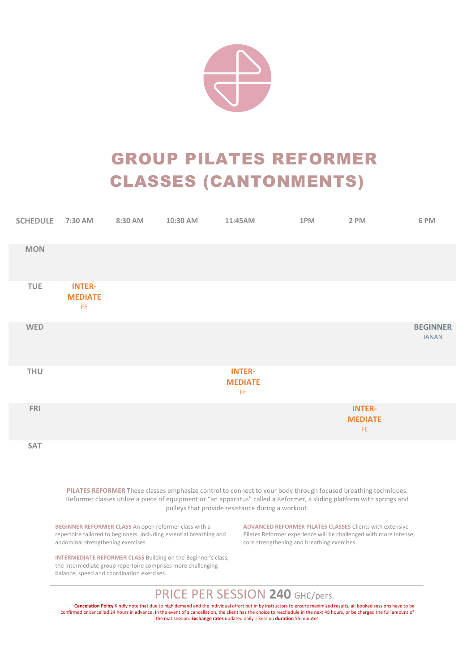

# GROUP PILATES REFORMER CLASSES (CANTONMENTS)

| <b>SCHEDULE</b> | 7:30 AM                                |  |                                                  | 1PM and the state of the state of the state of the state of the state of the state of the state of the state o | 2 PM                                   | 6 PM                            |
|-----------------|----------------------------------------|--|--------------------------------------------------|----------------------------------------------------------------------------------------------------------------|----------------------------------------|---------------------------------|
| <b>MON</b>      |                                        |  |                                                  |                                                                                                                |                                        |                                 |
| <b>TUE</b>      | <b>INTER-</b><br><b>MEDIATE</b><br>FE. |  |                                                  |                                                                                                                |                                        |                                 |
| <b>WED</b>      |                                        |  |                                                  |                                                                                                                |                                        | <b>BEGINNER</b><br><b>JANAN</b> |
| <b>THU</b>      |                                        |  | <b>INTER-</b><br><b>MEDIATE</b><br>$\mathsf{FE}$ |                                                                                                                |                                        |                                 |
| <b>FRI</b>      |                                        |  |                                                  |                                                                                                                | <b>INTER-</b><br><b>MEDIATE</b><br>FE. |                                 |
| SAT             |                                        |  |                                                  |                                                                                                                |                                        |                                 |

PILATES REFORMER These classes emphasize control to connect to your body through focused breathing techniques. Reformer classes utilize a piece of equipment or "an apparatus" called a Reformer, a sliding platform with springs and pulleys that provide resistance during a workout.

BEGINNER REFORMER CLASS An open reformer class with a repertoire tailored to beginners, including essential breathing and abdominal strengthening exercises

ADVANCED REFORMER PILATES CLASSES Clients with extensive Pilates Reformer experience will be challenged with more intense, core strengthening and breathing exercises

INTERMEDIATE REFORMER CLASS Building on the Beginner's class, the Intermediate group repertoire comprises more challenging balance, speed and coordination exercises.

PRICE PER SESSION 240 GHC/pers.

Cancelation Policy Kindly note that due to high demand and the individual effort put in by instructors to ensure maximized results, all booked sessions have to be confirmed or cancelled 24 hours in advance. In the event of a cancellation, the client has the choice to reschedule in the next 48 hours, or be charged the full amount of the mat session. Exchange rates updated daily | Session duration 55 minutes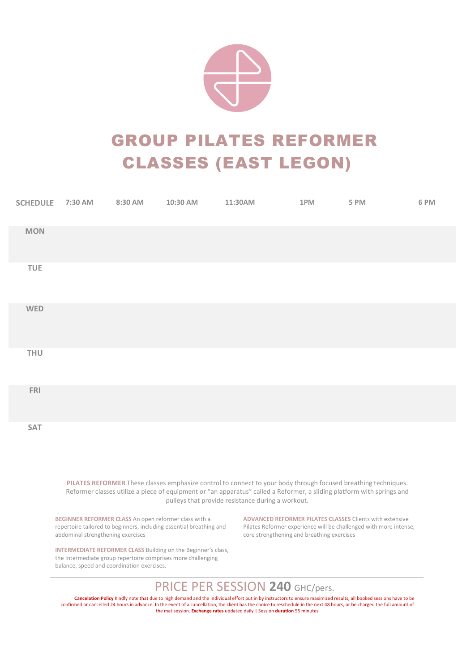

# GROUP PILATES REFORMER CLASSES (EAST LEGON)

| SCHEDULE 7:30 AM | 8:30 AM | 10:30 AM | 11:30AM | 1PM | 5 PM | 6 PM |
|------------------|---------|----------|---------|-----|------|------|
| <b>MON</b>       |         |          |         |     |      |      |
| TUE              |         |          |         |     |      |      |
| WED              |         |          |         |     |      |      |
| THU              |         |          |         |     |      |      |
| <b>FRI</b>       |         |          |         |     |      |      |
| SAT              |         |          |         |     |      |      |

PILATES REFORMER These classes emphasize control to connect to your body through focused breathing techniques. Reformer classes utilize a piece of equipment or "an apparatus" called a Reformer, a sliding platform with springs and pulleys that provide resistance during a workout.

BEGINNER REFORMER CLASS An open reformer class with a repertoire tailored to beginners, including essential breathing and abdominal strengthening exercises

INTERMEDIATE REFORMER CLASS Building on the Beginner's class, the Intermediate group repertoire comprises more challenging balance, speed and coordination exercises.

ADVANCED REFORMER PILATES CLASSES Clients with extensive Pilates Reformer experience will be challenged with more intense, core strengthening and breathing exercises

#### PRICE PER SESSION 240 GHC/pers.

Cancelation Policy Kindly note that due to high demand and the individual effort put in by instructors to ensure maximized results, all booked sessions have to be confirmed or cancelled 24 hours in advance. In the event of a cancellation, the client has the choice to reschedule in the next 48 hours, or be charged the full amount of the mat session. Exchange rates updated daily | Session duration 55 minutes